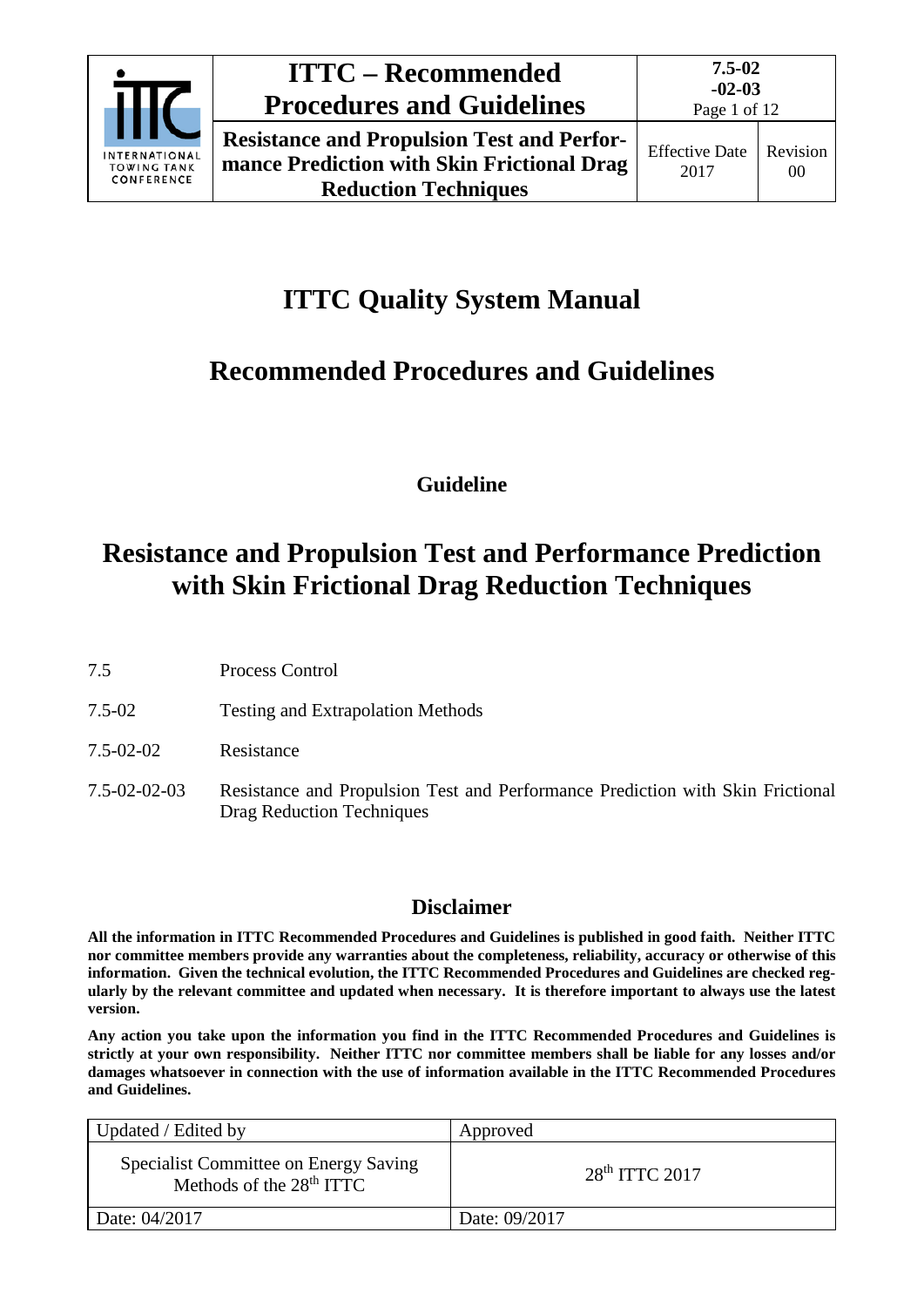

# **ITTC Quality System Manual**

# **Recommended Procedures and Guidelines**

**Guideline**

# **Resistance and Propulsion Test and Performance Prediction with Skin Frictional Drag Reduction Techniques**

- 7.5 Process Control
- 7.5-02 Testing and Extrapolation Methods
- 7.5-02-02 Resistance
- 7.5-02-02-03 Resistance and Propulsion Test and Performance Prediction with Skin Frictional Drag Reduction Techniques

## **Disclaimer**

**All the information in ITTC Recommended Procedures and Guidelines is published in good faith. Neither ITTC nor committee members provide any warranties about the completeness, reliability, accuracy or otherwise of this information. Given the technical evolution, the ITTC Recommended Procedures and Guidelines are checked regularly by the relevant committee and updated when necessary. It is therefore important to always use the latest version.**

**Any action you take upon the information you find in the ITTC Recommended Procedures and Guidelines is strictly at your own responsibility. Neither ITTC nor committee members shall be liable for any losses and/or damages whatsoever in connection with the use of information available in the ITTC Recommended Procedures and Guidelines.**

| Updated / Edited by                                                 | Approved           |
|---------------------------------------------------------------------|--------------------|
| Specialist Committee on Energy Saving<br>Methods of the $28th ITTC$ | $28th$ ITTC $2017$ |
| Date: 04/2017                                                       | Date: 09/2017      |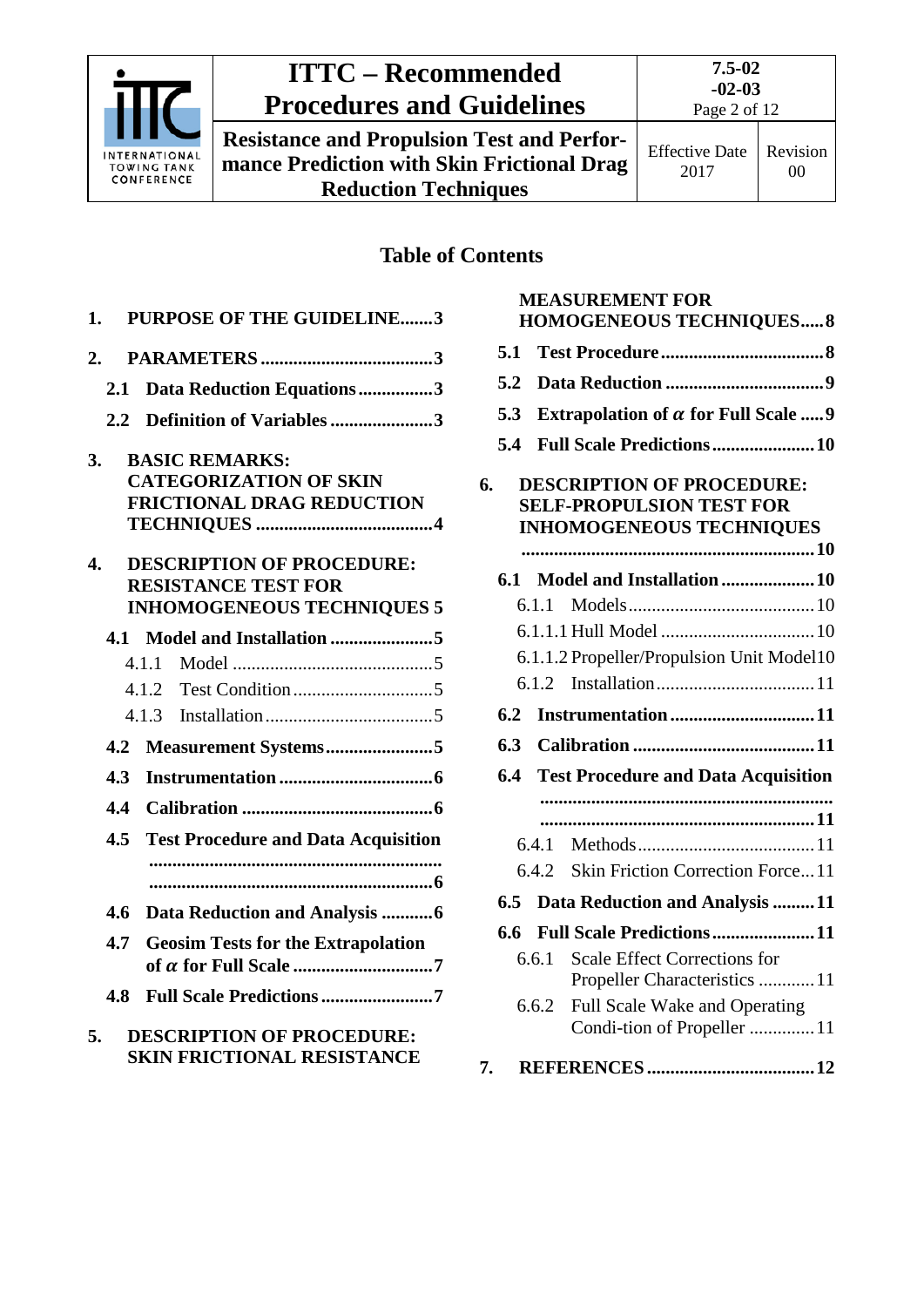

**Resistance and Propulsion Test and Performance Prediction with Skin Frictional Drag Reduction Techniques**

## **Table of Contents**

| 1.               |               | <b>PURPOSE OF THE GUIDELINE3</b>           |  |  |
|------------------|---------------|--------------------------------------------|--|--|
| 2.               |               |                                            |  |  |
|                  | 2.1           | Data Reduction Equations3                  |  |  |
|                  | $2.2^{\circ}$ | Definition of Variables 3                  |  |  |
| 3.               |               | <b>BASIC REMARKS:</b>                      |  |  |
|                  |               | <b>CATEGORIZATION OF SKIN</b>              |  |  |
|                  |               | <b>FRICTIONAL DRAG REDUCTION</b>           |  |  |
|                  |               |                                            |  |  |
| $\overline{4}$ . |               | <b>DESCRIPTION OF PROCEDURE:</b>           |  |  |
|                  |               | <b>RESISTANCE TEST FOR</b>                 |  |  |
|                  |               | <b>INHOMOGENEOUS TECHNIQUES 5</b>          |  |  |
|                  | 4.1           |                                            |  |  |
|                  |               | 4.1.1                                      |  |  |
|                  |               | 4.1.2                                      |  |  |
|                  |               | 4.1.3                                      |  |  |
|                  | 4.2           | Measurement Systems5                       |  |  |
|                  | 4.3           |                                            |  |  |
|                  | 4.4           |                                            |  |  |
|                  | $4.5^{\circ}$ | <b>Test Procedure and Data Acquisition</b> |  |  |
|                  |               |                                            |  |  |
|                  |               |                                            |  |  |
|                  | 4.6           | Data Reduction and Analysis 6              |  |  |
|                  | 4.7           | <b>Geosim Tests for the Extrapolation</b>  |  |  |
|                  |               |                                            |  |  |
|                  | 4.8           | Full Scale Predictions 7                   |  |  |
| 5.               |               | <b>DESCRIPTION OF PROCEDURE:</b>           |  |  |
|                  |               | <b>SKIN FRICTIONAL RESISTANCE</b>          |  |  |

|     |                                 | <b>MEASUREMENT FOR</b>                                               |  |  |  |
|-----|---------------------------------|----------------------------------------------------------------------|--|--|--|
|     | <b>HOMOGENEOUS TECHNIQUES 8</b> |                                                                      |  |  |  |
| 5.1 |                                 |                                                                      |  |  |  |
| 5.2 |                                 |                                                                      |  |  |  |
| 5.3 |                                 | Extrapolation of $\alpha$ for Full Scale  9                          |  |  |  |
| 5.4 |                                 | <b>Full Scale Predictions  10</b>                                    |  |  |  |
| 6.  |                                 | <b>DESCRIPTION OF PROCEDURE:</b>                                     |  |  |  |
|     |                                 | <b>SELF-PROPULSION TEST FOR</b>                                      |  |  |  |
|     |                                 | <b>INHOMOGENEOUS TECHNIQUES</b>                                      |  |  |  |
| 6.1 |                                 | Model and Installation 10                                            |  |  |  |
|     | 6.1.1                           |                                                                      |  |  |  |
|     |                                 |                                                                      |  |  |  |
|     |                                 |                                                                      |  |  |  |
|     |                                 | 6.1.1.2 Propeller/Propulsion Unit Model10                            |  |  |  |
|     | 6.1.2                           |                                                                      |  |  |  |
| 6.2 |                                 | Instrumentation11                                                    |  |  |  |
| 6.3 |                                 |                                                                      |  |  |  |
| 6.4 |                                 | <b>Test Procedure and Data Acquisition</b>                           |  |  |  |
|     |                                 |                                                                      |  |  |  |
|     |                                 |                                                                      |  |  |  |
|     | 6.4.1                           |                                                                      |  |  |  |
|     | 6.4.2                           | Skin Friction Correction Force11                                     |  |  |  |
| 6.5 |                                 | Data Reduction and Analysis 11                                       |  |  |  |
| 6.6 |                                 | <b>Full Scale Predictions11</b>                                      |  |  |  |
|     | 6.6.1                           | <b>Scale Effect Corrections for</b><br>Propeller Characteristics  11 |  |  |  |
|     | 6.6.2                           | Full Scale Wake and Operating                                        |  |  |  |
|     |                                 | Condi-tion of Propeller 11                                           |  |  |  |
| 7.  |                                 |                                                                      |  |  |  |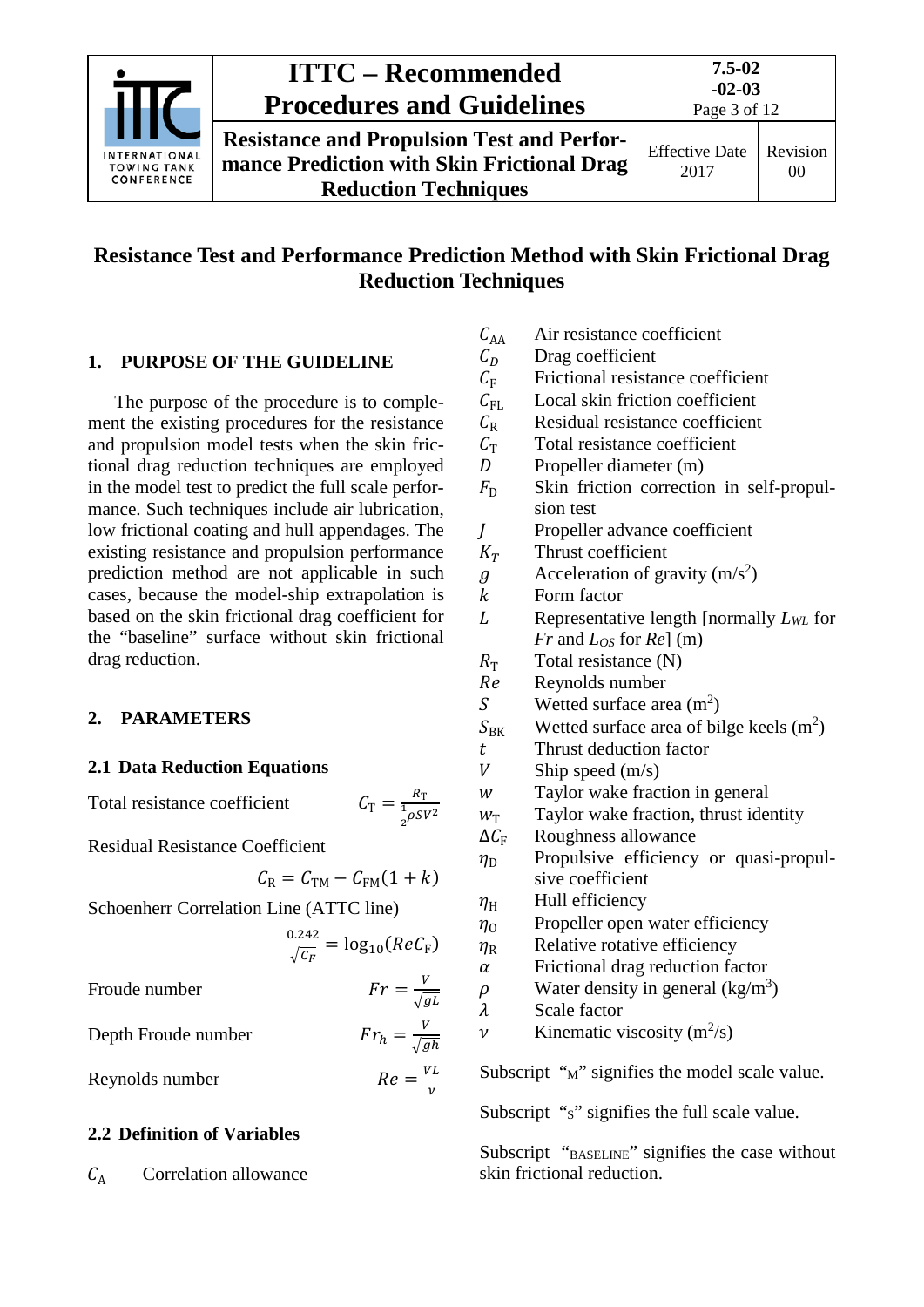

## **Resistance Test and Performance Prediction Method with Skin Frictional Drag Reduction Techniques**

### <span id="page-2-0"></span>**1. PURPOSE OF THE GUIDELINE**

The purpose of the procedure is to complement the existing procedures for the resistance and propulsion model tests when the skin frictional drag reduction techniques are employed in the model test to predict the full scale performance. Such techniques include air lubrication, low frictional coating and hull appendages. The existing resistance and propulsion performance prediction method are not applicable in such cases, because the model-ship extrapolation is based on the skin frictional drag coefficient for the "baseline" surface without skin frictional drag reduction.

### <span id="page-2-2"></span><span id="page-2-1"></span>**2. PARAMETERS**

### **2.1 Data Reduction Equations**

Total resistance coefficient

## 1  $\frac{1}{2} \rho S V^2$

Residual Resistance Coefficient

$$
C_{\rm R}=C_{\rm TM}-C_{\rm FM}(1+k)
$$

Schoenherr Correlation Line (ATTC line)

$$
\frac{0.242}{\sqrt{C_F}} = \log_{10}(ReC_F)
$$

 $Fr = \frac{V}{\sqrt{gL}}$ 

Froude number

Depth Froude number 
$$
Fr_h = \frac{V}{\sqrt{gh}}
$$

Reynolds number  $Re = \frac{VL}{v}$ 

### <span id="page-2-3"></span>**2.2 Definition of Variables**

 $C_A$  Correlation allowance

- $C_{AA}$  Air resistance coefficient<br>  $C_D$  Drag coefficient
- $C_D$  Drag coefficient<br>  $C_F$  Frictional resista
- $C_F$  Frictional resistance coefficient<br>  $C_{FL}$  Local skin friction coefficient
- $C_{\text{FL}}$  Local skin friction coefficient<br> $C_{\text{R}}$  Residual resistance coefficient
- $C_R$  Residual resistance coefficient<br> $C_T$  Total resistance coefficient
- $C_T$  Total resistance coefficient<br>D Propeller diameter (m)
- $D$  Propeller diameter (m)<br> $F<sub>D</sub>$  Skin friction correction
- Skin friction correction in self-propulsion test
- $V_T$  Propeller advance coefficient<br> $K_T$  Thrust coefficient
- Thrust coefficient

$$
g
$$
 Acceleration of gravity (m/s<sup>2</sup>)

- $k$  Form factor<br> $L$  Representati
- Representative length [normally *LWL* for *Fr* and *LOS* for *Re*] (m)
- $R_{\text{T}}$  Total resistance (N)<br>  $Re$  Reynolds number
- Re Reynolds number<br>S Wetted surface are
- S Wetted surface area  $(m^2)$
- $S_{\text{BK}}$  Wetted surface area of bilge keels (m<sup>2</sup>)
- $t$  Thrust deduction factor<br>  $V$  Ship speed (m/s)
- $V$  Ship speed (m/s)<br>w Taylor wake frac
- Taylor wake fraction in general
- $w_T$  Taylor wake fraction, thrust identity<br> $\Delta C_F$  Roughness allowance
- $\Delta C_F$  Roughness allowance<br>  $\eta_D$  Propulsive efficiency
- Propulsive efficiency or quasi-propulsive coefficient
- $\eta_H$  Hull efficiency<br>  $\eta_0$  Propeller open
- $\eta_0$  Propeller open water efficiency<br>
Relative rotative efficiency
- $\eta_R$  Relative rotative efficiency<br>  $\alpha$  Frictional drag reduction fa
- Frictional drag reduction factor
- $\rho$  Water density in general (kg/m<sup>3</sup>)
- $\lambda$  Scale factor<br>  $\nu$  Kinematic v
- $\nu$  Kinematic viscosity (m<sup>2</sup>/s)

Subscript " $M$ " signifies the model scale value.

Subscript "s" signifies the full scale value.

Subscript "BASELINE" signifies the case without skin frictional reduction.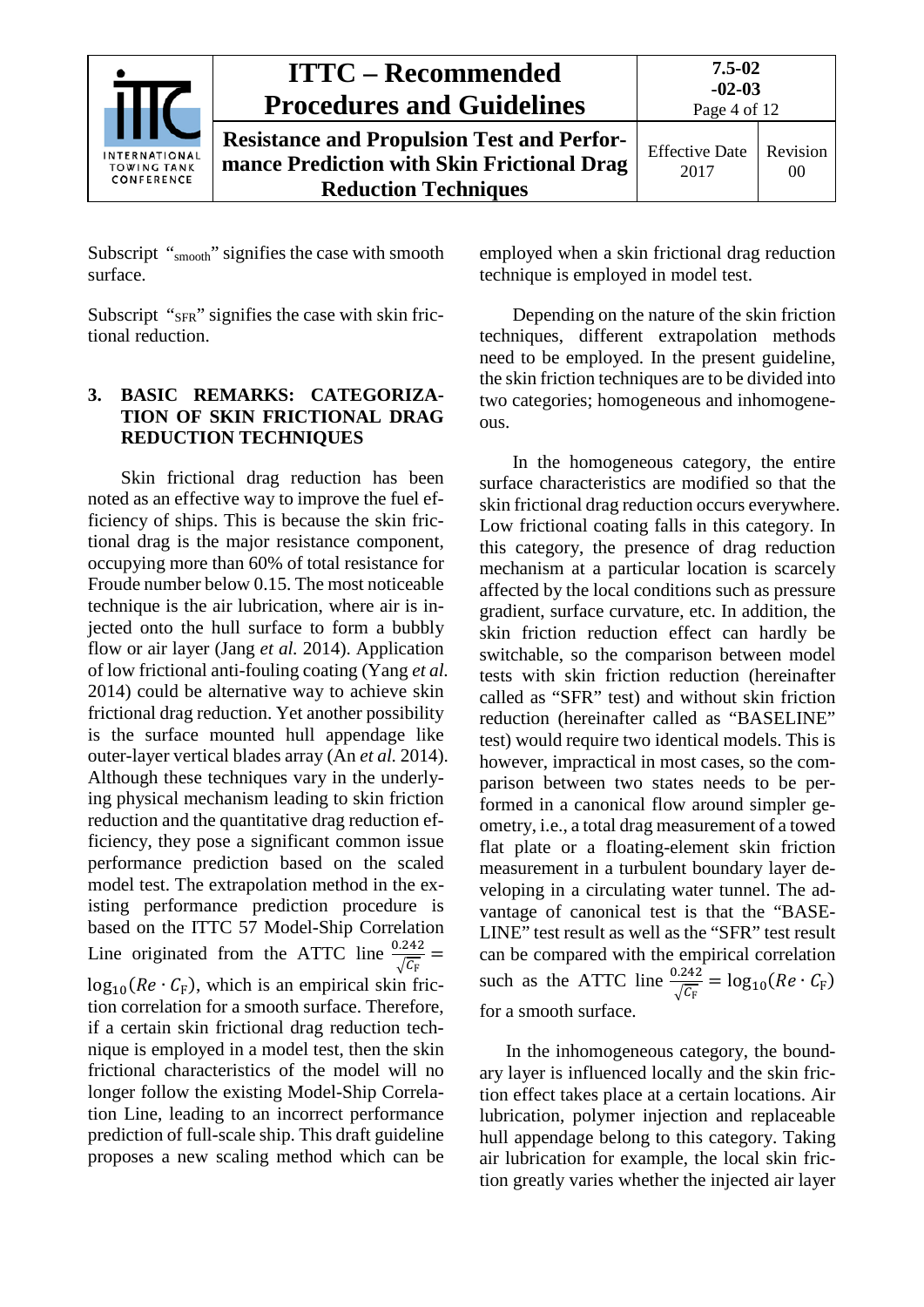

Subscript "smooth" signifies the case with smooth surface.

<span id="page-3-0"></span>Subscript "<sub>SFR</sub>" signifies the case with skin frictional reduction.

### **3. BASIC REMARKS: CATEGORIZA-TION OF SKIN FRICTIONAL DRAG REDUCTION TECHNIQUES**

Skin frictional drag reduction has been noted as an effective way to improve the fuel efficiency of ships. This is because the skin frictional drag is the major resistance component, occupying more than 60% of total resistance for Froude number below 0.15. The most noticeable technique is the air lubrication, where air is injected onto the hull surface to form a bubbly flow or air layer (Jang *et al.* 2014). Application of low frictional anti-fouling coating (Yang *et al.* 2014) could be alternative way to achieve skin frictional drag reduction. Yet another possibility is the surface mounted hull appendage like outer-layer vertical blades array (An *et al.* 2014). Although these techniques vary in the underlying physical mechanism leading to skin friction reduction and the quantitative drag reduction efficiency, they pose a significant common issue performance prediction based on the scaled model test. The extrapolation method in the existing performance prediction procedure is based on the ITTC 57 Model-Ship Correlation Line originated from the ATTC line  $\frac{0.242}{\sqrt{2}}$  $\sqrt{c_F}$  =  $log_{10}(Re \cdot C_F)$ , which is an empirical skin friction correlation for a smooth surface. Therefore, if a certain skin frictional drag reduction technique is employed in a model test, then the skin frictional characteristics of the model will no longer follow the existing Model-Ship Correlation Line, leading to an incorrect performance prediction of full-scale ship. This draft guideline proposes a new scaling method which can be

employed when a skin frictional drag reduction technique is employed in model test.

Depending on the nature of the skin friction techniques, different extrapolation methods need to be employed. In the present guideline, the skin friction techniques are to be divided into two categories; homogeneous and inhomogeneous.

In the homogeneous category, the entire surface characteristics are modified so that the skin frictional drag reduction occurs everywhere. Low frictional coating falls in this category. In this category, the presence of drag reduction mechanism at a particular location is scarcely affected by the local conditions such as pressure gradient, surface curvature, etc. In addition, the skin friction reduction effect can hardly be switchable, so the comparison between model tests with skin friction reduction (hereinafter called as "SFR" test) and without skin friction reduction (hereinafter called as "BASELINE" test) would require two identical models. This is however, impractical in most cases, so the comparison between two states needs to be performed in a canonical flow around simpler geometry, i.e., a total drag measurement of a towed flat plate or a floating-element skin friction measurement in a turbulent boundary layer developing in a circulating water tunnel. The advantage of canonical test is that the "BASE-LINE" test result as well as the "SFR" test result can be compared with the empirical correlation such as the ATTC line  $\frac{0.242}{\sqrt{6}}$  $\frac{\overline{C_{\rm F}}}{\sqrt{c_{\rm F}}} = \log_{10}(Re \cdot C_{\rm F})$ for a smooth surface.

In the inhomogeneous category, the boundary layer is influenced locally and the skin friction effect takes place at a certain locations. Air lubrication, polymer injection and replaceable hull appendage belong to this category. Taking air lubrication for example, the local skin friction greatly varies whether the injected air layer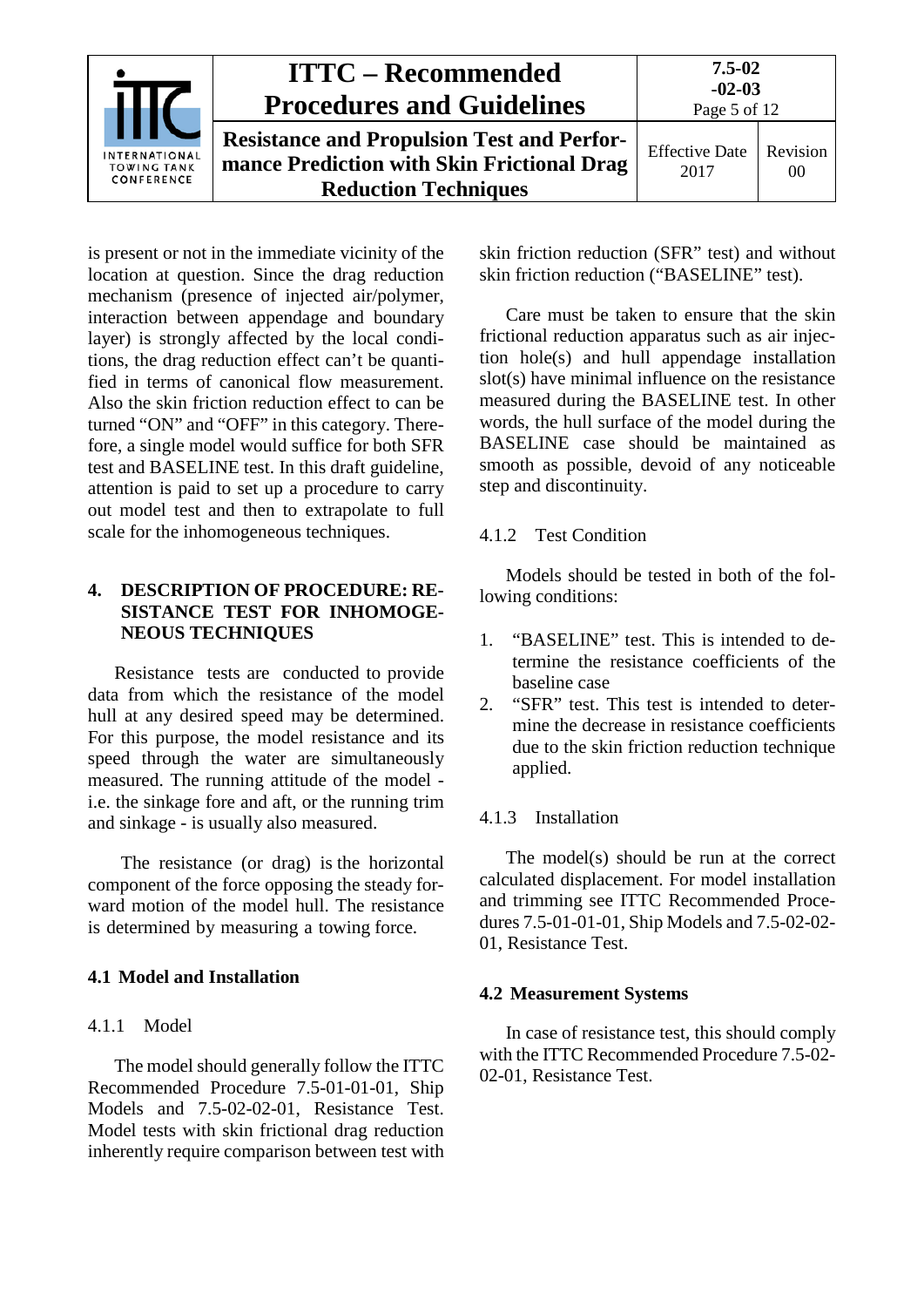|                                                          | <b>ITTC – Recommended</b><br><b>Procedures and Guidelines</b>                                                                  | $7.5 - 02$<br>$-02-03$<br>Page 5 of 12 |                            |
|----------------------------------------------------------|--------------------------------------------------------------------------------------------------------------------------------|----------------------------------------|----------------------------|
| <b>INTERNATIONAL</b><br><b>TOWING TANK</b><br>CONFERENCE | <b>Resistance and Propulsion Test and Perfor-</b><br>mance Prediction with Skin Frictional Drag<br><b>Reduction Techniques</b> | <b>Effective Date</b><br>2017          | Revision<br>0 <sup>0</sup> |

is present or not in the immediate vicinity of the location at question. Since the drag reduction mechanism (presence of injected air/polymer, interaction between appendage and boundary layer) is strongly affected by the local conditions, the drag reduction effect can't be quantified in terms of canonical flow measurement. Also the skin friction reduction effect to can be turned "ON" and "OFF" in this category. Therefore, a single model would suffice for both SFR test and BASELINE test. In this draft guideline, attention is paid to set up a procedure to carry out model test and then to extrapolate to full scale for the inhomogeneous techniques.

### <span id="page-4-0"></span>**4. DESCRIPTION OF PROCEDURE: RE-SISTANCE TEST FOR INHOMOGE-NEOUS TECHNIQUES**

Resistance tests are conducted to provide data from which the resistance of the model hull at any desired speed may be determined. For this purpose, the model resistance and its speed through the water are simultaneously measured. The running attitude of the model i.e. the sinkage fore and aft, or the running trim and sinkage - is usually also measured.

The resistance (or drag) is the horizontal component of the force opposing the steady forward motion of the model hull. The resistance is determined by measuring a towing force.

### <span id="page-4-2"></span><span id="page-4-1"></span>**4.1 Model and Installation**

### 4.1.1 Model

The model should generally follow the ITTC Recommended Procedure 7.5-01-01-01, Ship Models and 7.5-02-02-01, Resistance Test. Model tests with skin frictional drag reduction inherently require comparison between test with skin friction reduction (SFR" test) and without skin friction reduction ("BASELINE" test).

Care must be taken to ensure that the skin frictional reduction apparatus such as air injection hole(s) and hull appendage installation slot(s) have minimal influence on the resistance measured during the BASELINE test. In other words, the hull surface of the model during the BASELINE case should be maintained as smooth as possible, devoid of any noticeable step and discontinuity.

### <span id="page-4-3"></span>4.1.2 Test Condition

Models should be tested in both of the following conditions:

- 1. "BASELINE" test. This is intended to determine the resistance coefficients of the baseline case
- 2. "SFR" test. This test is intended to determine the decrease in resistance coefficients due to the skin friction reduction technique applied.

### <span id="page-4-4"></span>4.1.3 Installation

The model(s) should be run at the correct calculated displacement. For model installation and trimming see ITTC Recommended Procedures 7.5-01-01-01, Ship Models and 7.5-02-02- 01, Resistance Test.

### <span id="page-4-5"></span>**4.2 Measurement Systems**

In case of resistance test, this should comply with the ITTC Recommended Procedure 7.5-02-02-01, Resistance Test.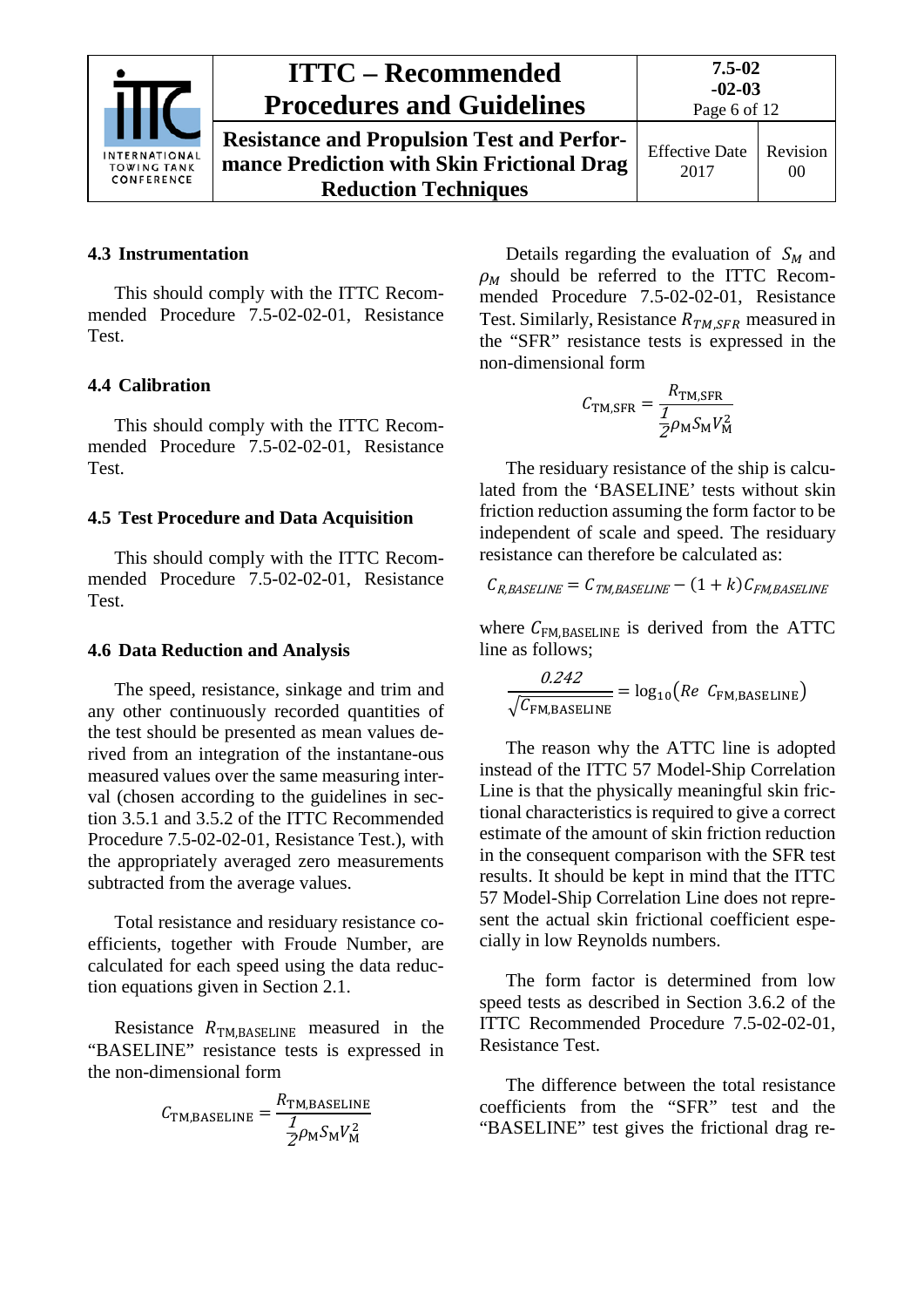

**Resistance and Propulsion Test and Performance Prediction with Skin Frictional Drag Reduction Techniques**

### <span id="page-5-0"></span>**4.3 Instrumentation**

This should comply with the ITTC Recommended Procedure 7.5-02-02-01, Resistance Test.

### <span id="page-5-1"></span>**4.4 Calibration**

This should comply with the ITTC Recommended Procedure 7.5-02-02-01, Resistance Test.

### <span id="page-5-2"></span>**4.5 Test Procedure and Data Acquisition**

This should comply with the ITTC Recommended Procedure 7.5-02-02-01, Resistance Test.

### <span id="page-5-3"></span>**4.6 Data Reduction and Analysis**

The speed, resistance, sinkage and trim and any other continuously recorded quantities of the test should be presented as mean values derived from an integration of the instantane-ous measured values over the same measuring interval (chosen according to the guidelines in section 3.5.1 and 3.5.2 of the ITTC Recommended Procedure 7.5-02-02-01, Resistance Test.), with the appropriately averaged zero measurements subtracted from the average values.

Total resistance and residuary resistance coefficients, together with Froude Number, are calculated for each speed using the data reduction equations given in Section 2.1.

Resistance  $R_{\text{TM,BASELINE}}$  measured in the "BASELINE" resistance tests is expressed in the non-dimensional form

$$
C_{\text{TM,BASELINE}} = \frac{R_{\text{TM,BASELINE}}}{\frac{1}{2}\rho_{\text{M}}S_{\text{M}}V_{\text{M}}^2}
$$

Details regarding the evaluation of  $S_M$  and  $\rho_M$  should be referred to the ITTC Recommended Procedure 7.5-02-02-01, Resistance Test. Similarly, Resistance  $R_{TM, SFR}$  measured in the "SFR" resistance tests is expressed in the non-dimensional form

$$
C_{\text{TM,SFR}} = \frac{R_{\text{TM,SFR}}}{\frac{1}{2}\rho_{\text{M}}S_{\text{M}}V_{\text{M}}^2}
$$

The residuary resistance of the ship is calculated from the 'BASELINE' tests without skin friction reduction assuming the form factor to be independent of scale and speed. The residuary resistance can therefore be calculated as:

$$
C_{R,BASELINE} = C_{TM, BASELINE} - (1 + k)C_{FM, BASELINE}
$$

where  $C_{FM,BASELINE}$  is derived from the ATTC line as follows;

$$
\frac{0.242}{\sqrt{C_{\text{FM,BASELINE}}}} = \log_{10}(Re \ C_{\text{FM,BASELINE}})
$$

The reason why the ATTC line is adopted instead of the ITTC 57 Model-Ship Correlation Line is that the physically meaningful skin frictional characteristics is required to give a correct estimate of the amount of skin friction reduction in the consequent comparison with the SFR test results. It should be kept in mind that the ITTC 57 Model-Ship Correlation Line does not represent the actual skin frictional coefficient especially in low Reynolds numbers.

The form factor is determined from low speed tests as described in Section 3.6.2 of the ITTC Recommended Procedure 7.5-02-02-01, Resistance Test.

The difference between the total resistance coefficients from the "SFR" test and the "BASELINE" test gives the frictional drag re-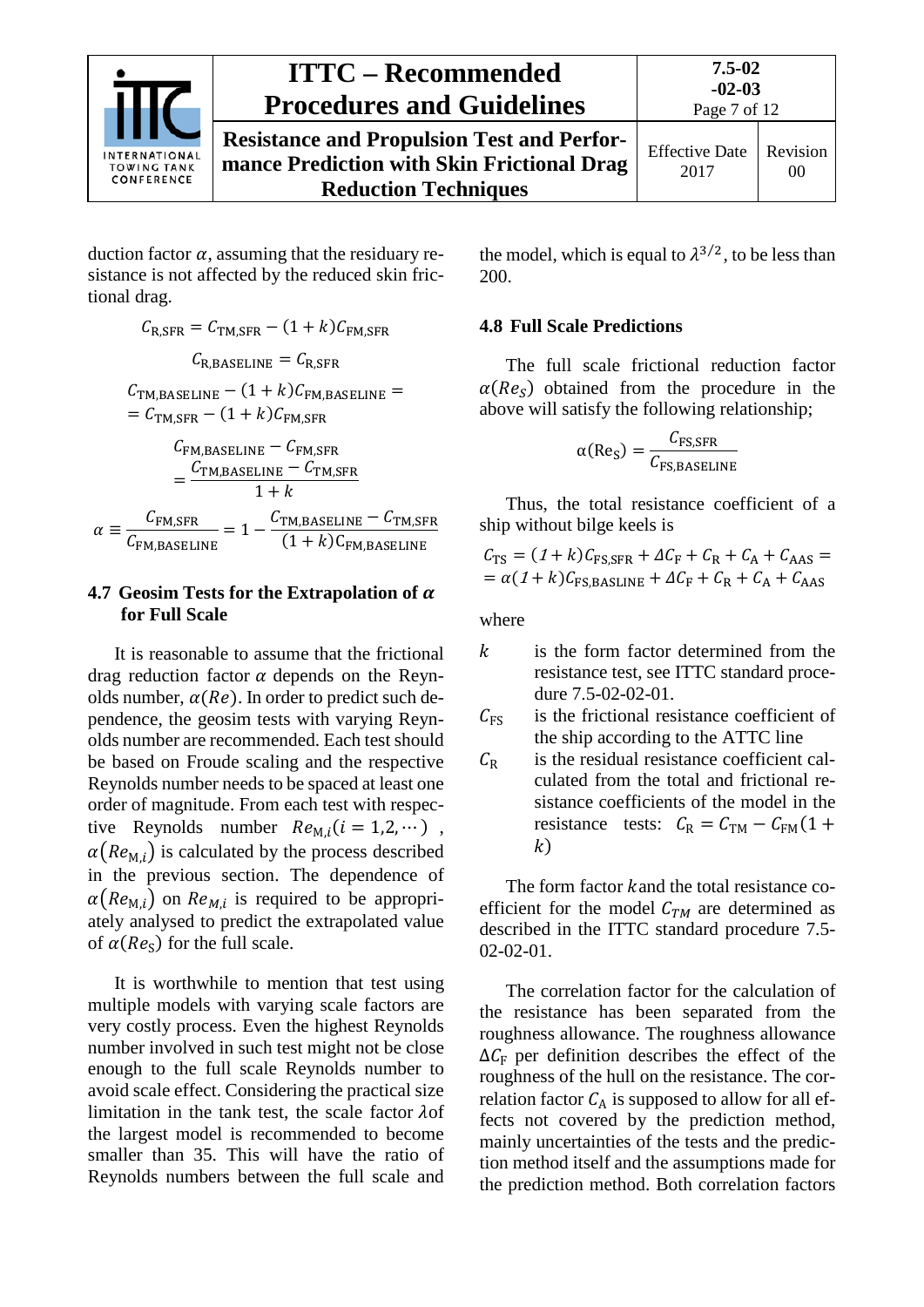

**Resistance and Propulsion Test and Performance Prediction with Skin Frictional Drag Reduction Techniques**

**7.5-02**

duction factor  $\alpha$ , assuming that the residuary resistance is not affected by the reduced skin frictional drag.

$$
C_{R, SFR} = C_{TM, SFR} - (1 + k)C_{FM, SFR}
$$

$$
C_{R, BASELINE} = C_{R, SFR}
$$

 $C_{\text{TM.BASELINE}} - (1 + k)C_{\text{FM.BASELINE}} =$  $= C_{\text{TM,SFR}} - (1 + k)C_{\text{FM,SFR}}$ 

$$
C_{\text{FM,BASELINE}} - C_{\text{FM,SFR}}
$$
  
= 
$$
\frac{C_{\text{TM,BASELINE}} - C_{\text{TM,SFR}}}{1 + k}
$$
  

$$
\alpha \equiv \frac{C_{\text{FM,SFR}}}{C_{\text{FM,BASELINE}}} = 1 - \frac{C_{\text{TM,BASELINE}} - C_{\text{TM,SFR}}}{(1 + k)C_{\text{FM,BASELINE}}}
$$

### <span id="page-6-0"></span>**4.7 Geosim Tests for the Extrapolation of**  $\alpha$ **for Full Scale**

It is reasonable to assume that the frictional drag reduction factor  $\alpha$  depends on the Reynolds number,  $\alpha(Re)$ . In order to predict such dependence, the geosim tests with varying Reynolds number are recommended. Each test should be based on Froude scaling and the respective Reynolds number needs to be spaced at least one order of magnitude. From each test with respective Reynolds number  $Re_{M,i}(i = 1,2,...)$ ,  $\alpha(Re_{\text{M}i})$  is calculated by the process described in the previous section. The dependence of  $\alpha(Re_{M,i})$  on  $Re_{M,i}$  is required to be appropriately analysed to predict the extrapolated value of  $\alpha(Re_s)$  for the full scale.

It is worthwhile to mention that test using multiple models with varying scale factors are very costly process. Even the highest Reynolds number involved in such test might not be close enough to the full scale Reynolds number to avoid scale effect. Considering the practical size limitation in the tank test, the scale factor  $\lambda$ of the largest model is recommended to become smaller than 35. This will have the ratio of Reynolds numbers between the full scale and the model, which is equal to  $\lambda^{3/2}$ , to be less than 200.

### <span id="page-6-1"></span>**4.8 Full Scale Predictions**

The full scale frictional reduction factor  $\alpha(Re<sub>s</sub>)$  obtained from the procedure in the above will satisfy the following relationship;

$$
\alpha(\text{Re}_\text{S}) = \frac{C_{\text{FS, SFR}}}{C_{\text{FS,BASELINE}}}
$$

Thus, the total resistance coefficient of a ship without bilge keels is

$$
C_{\text{TS}} = (1 + k)C_{\text{FS,SFR}} + \Delta C_{\text{F}} + C_{\text{R}} + C_{\text{A}} + C_{\text{AAS}} =
$$

$$
= \alpha (1 + k)C_{\text{FS,BASLINE}} + \Delta C_{\text{F}} + C_{\text{R}} + C_{\text{A}} + C_{\text{AAS}}
$$

where

- $k$  is the form factor determined from the resistance test, see ITTC standard procedure 7.5-02-02-01.
- $C_{FS}$  is the frictional resistance coefficient of the ship according to the ATTC line
- $C_R$  is the residual resistance coefficient calculated from the total and frictional resistance coefficients of the model in the resistance tests:  $C_R = C_{TM} - C_{FM}(1 +$  $k)$

The form factor kand the total resistance coefficient for the model  $C<sub>TM</sub>$  are determined as described in the ITTC standard procedure 7.5- 02-02-01.

The correlation factor for the calculation of the resistance has been separated from the roughness allowance. The roughness allowance  $\Delta C_{\rm F}$  per definition describes the effect of the roughness of the hull on the resistance. The correlation factor  $C_A$  is supposed to allow for all effects not covered by the prediction method, mainly uncertainties of the tests and the prediction method itself and the assumptions made for the prediction method. Both correlation factors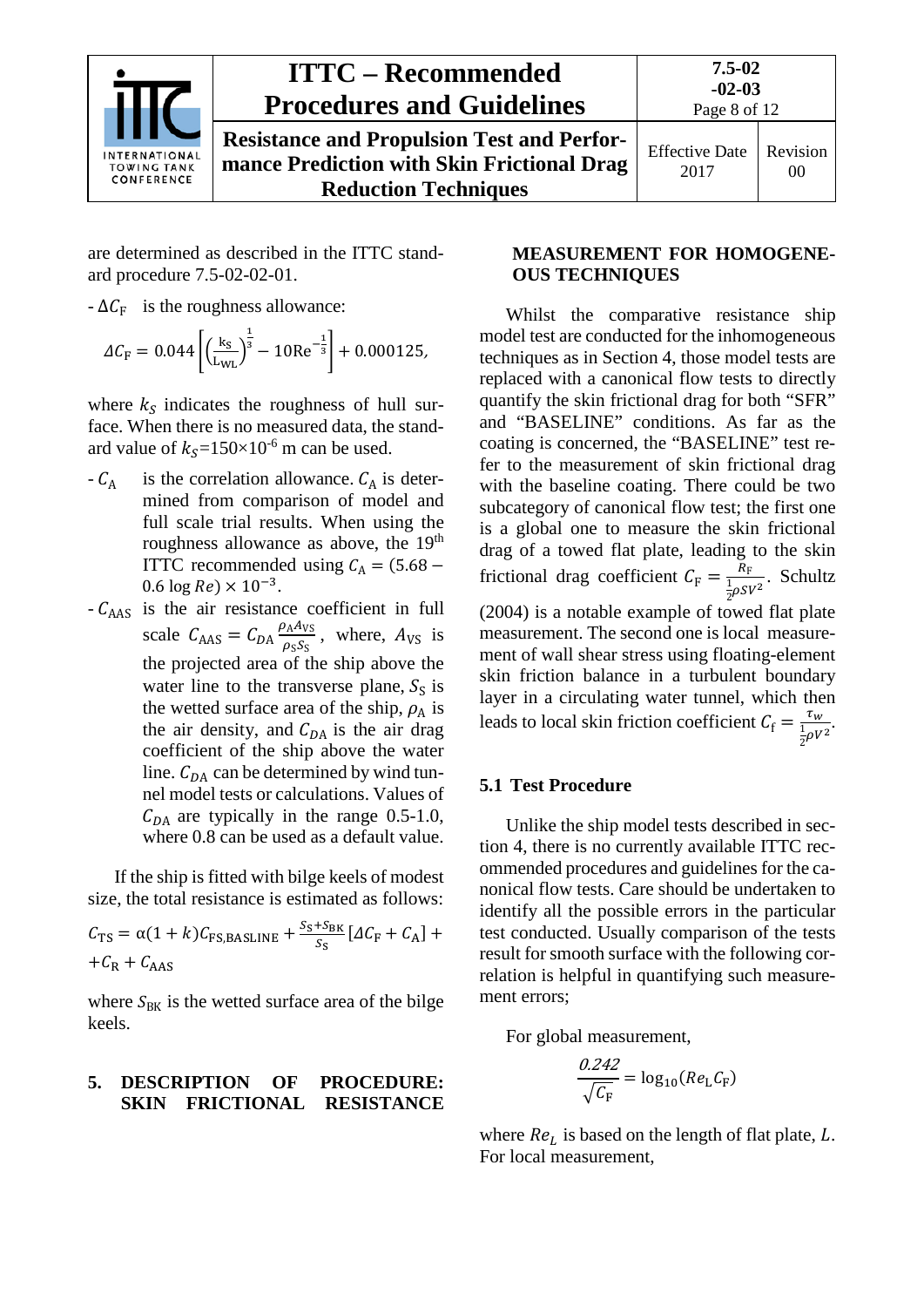

**Resistance and Propulsion Test and Performance Prediction with Skin Frictional Drag Reduction Techniques**

are determined as described in the ITTC standard procedure 7.5-02-02-01.

 $-\Delta C_F$  is the roughness allowance:

$$
\Delta C_{\rm F} = 0.044 \left[ \left( \frac{k_{\rm S}}{L_{\rm WL}} \right)^{\frac{1}{3}} - 10 \text{Re}^{-\frac{1}{3}} \right] + 0.000125,
$$

where  $k<sub>S</sub>$  indicates the roughness of hull surface. When there is no measured data, the standard value of  $k_s$ =150×10<sup>-6</sup> m can be used.

- $-C_A$  is the correlation allowance.  $C_A$  is determined from comparison of model and full scale trial results. When using the roughness allowance as above, the 19<sup>th</sup> ITTC recommended using  $C_A = (5.68 0.6 \log Re$ ) ×  $10^{-3}$ .
- $-C_{\text{AAS}}$  is the air resistance coefficient in full scale  $C_{\text{AAS}} = C_{DA} \frac{\rho_{\text{A}} A_{\text{VS}}}{\rho_{\text{S}} S_{\text{S}}}$  $\frac{\rho_A A_{VS}}{\rho_S S_S}$ , where,  $A_{VS}$  is the projected area of the ship above the water line to the transverse plane,  $S_S$  is the wetted surface area of the ship,  $\rho_A$  is the air density, and  $C_{DA}$  is the air drag coefficient of the ship above the water line.  $C_{DA}$  can be determined by wind tunnel model tests or calculations. Values of  $C_{DA}$  are typically in the range 0.5-1.0, where 0.8 can be used as a default value.

If the ship is fitted with bilge keels of modest size, the total resistance is estimated as follows:

$$
C_{\text{TS}} = \alpha (1 + k) C_{\text{FS,BASLINE}} + \frac{S_{\text{S}} + S_{\text{BK}}}{S_{\text{S}}} [\Delta C_{\text{F}} + C_{\text{A}}] +
$$
  
+ $C_{\text{R}} + C_{\text{AAS}}$ 

where  $S_{BK}$  is the wetted surface area of the bilge keels.

### <span id="page-7-0"></span>**5. DESCRIPTION OF PROCEDURE: SKIN FRICTIONAL RESISTANCE**

### **MEASUREMENT FOR HOMOGENE-OUS TECHNIQUES**

Whilst the comparative resistance ship model test are conducted for the inhomogeneous techniques as in Section 4, those model tests are replaced with a canonical flow tests to directly quantify the skin frictional drag for both "SFR" and "BASELINE" conditions. As far as the coating is concerned, the "BASELINE" test refer to the measurement of skin frictional drag with the baseline coating. There could be two subcategory of canonical flow test; the first one is a global one to measure the skin frictional drag of a towed flat plate, leading to the skin frictional drag coefficient  $C_F = \frac{R_F}{\frac{1}{2}\rho SV^2}$ . Schultz  $(2004)$  is a notable example of towed flat plate measurement. The second one is local measurement of wall shear stress using floating-element skin friction balance in a turbulent boundary layer in a circulating water tunnel, which then leads to local skin friction coefficient  $C_f = \frac{\tau_w}{\frac{1}{2}\rho V^2}$ 2 .

### <span id="page-7-1"></span>**5.1 Test Procedure**

Unlike the ship model tests described in section 4, there is no currently available ITTC recommended procedures and guidelines for the canonical flow tests. Care should be undertaken to identify all the possible errors in the particular test conducted. Usually comparison of the tests result for smooth surface with the following correlation is helpful in quantifying such measurement errors;

For global measurement,

$$
\frac{\partial 242}{\sqrt{C_{\rm F}}} = \log_{10}(Re_{\rm L}C_{\rm F})
$$

where  $Re<sub>L</sub>$  is based on the length of flat plate,  $L$ . For local measurement,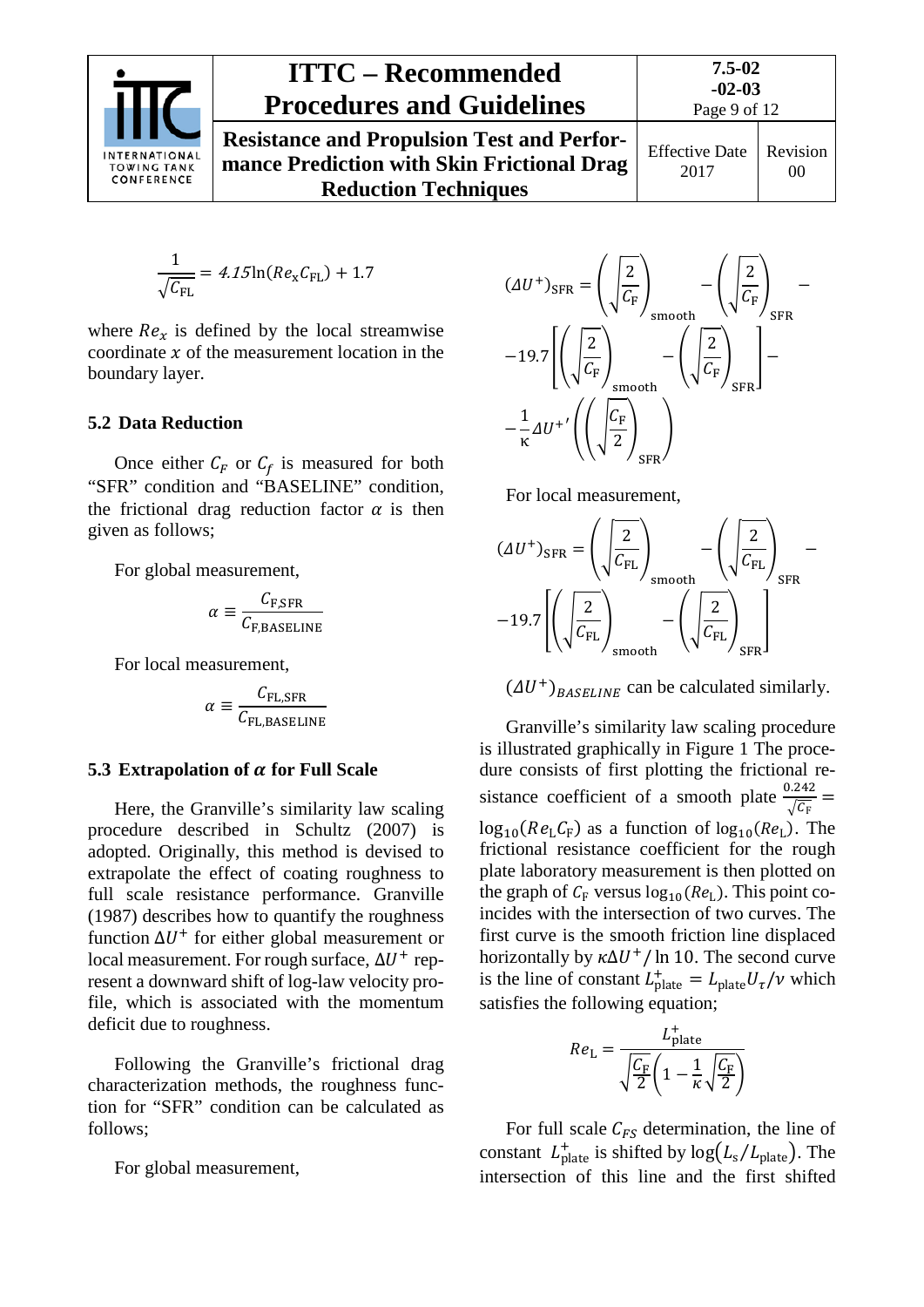

**Resistance and Propulsion Test and Performance Prediction with Skin Frictional Drag Reduction Techniques**

$$
\frac{1}{\sqrt{C_{\text{FL}}}} = 4.15 \ln(Re_{\text{x}} C_{\text{FL}}) + 1.7
$$

where  $Re<sub>x</sub>$  is defined by the local streamwise coordinate  $x$  of the measurement location in the boundary layer.

### <span id="page-8-0"></span>**5.2 Data Reduction**

Once either  $C_F$  or  $C_f$  is measured for both "SFR" condition and "BASELINE" condition, the frictional drag reduction factor  $\alpha$  is then given as follows;

For global measurement,

$$
\alpha \equiv \frac{C_{\text{F,SFR}}}{C_{\text{F,BASELINE}}}
$$

For local measurement,

$$
\alpha \equiv \frac{C_{\text{FL,SFR}}}{C_{\text{FL,BASELINE}}}
$$

#### <span id="page-8-1"></span>**5.3 Extrapolation of**  $\alpha$  **for Full Scale**

Here, the Granville's similarity law scaling procedure described in Schultz (2007) is adopted. Originally, this method is devised to extrapolate the effect of coating roughness to full scale resistance performance. Granville (1987) describes how to quantify the roughness function  $\Delta U^+$  for either global measurement or local measurement. For rough surface,  $\Delta U^+$  represent a downward shift of log-law velocity profile, which is associated with the momentum deficit due to roughness.

Following the Granville's frictional drag characterization methods, the roughness function for "SFR" condition can be calculated as follows;

For global measurement,



For local measurement,



 $(\Delta U^+)_{RASELINE}$  can be calculated similarly.

Granville's similarity law scaling procedure is illustrated graphically in Figure 1 The procedure consists of first plotting the frictional resistance coefficient of a smooth plate  $\frac{0.242}{\sqrt{2}}$  $\sqrt{c_F}$  =  $log_{10}(Re<sub>L</sub>C<sub>F</sub>)$  as a function of  $log_{10}(Re<sub>L</sub>)$ . The frictional resistance coefficient for the rough plate laboratory measurement is then plotted on the graph of  $C_F$  versus  $log_{10}(Re_L)$ . This point coincides with the intersection of two curves. The first curve is the smooth friction line displaced horizontally by  $\kappa \Delta U^+$ / ln 10. The second curve is the line of constant  $L_{\text{plate}}^+ = L_{\text{plate}} U_\tau / \nu$  which satisfies the following equation;

$$
Re_{\rm L} = \frac{L_{\rm plate}^+}{\sqrt{\frac{C_{\rm F}}{2}} \left(1 - \frac{1}{\kappa} \sqrt{\frac{C_{\rm F}}{2}}\right)}
$$

For full scale  $C_{FS}$  determination, the line of constant  $L_{\text{plate}}^{+}$  is shifted by  $\log(L_{\text{s}}/L_{\text{plate}})$ . The intersection of this line and the first shifted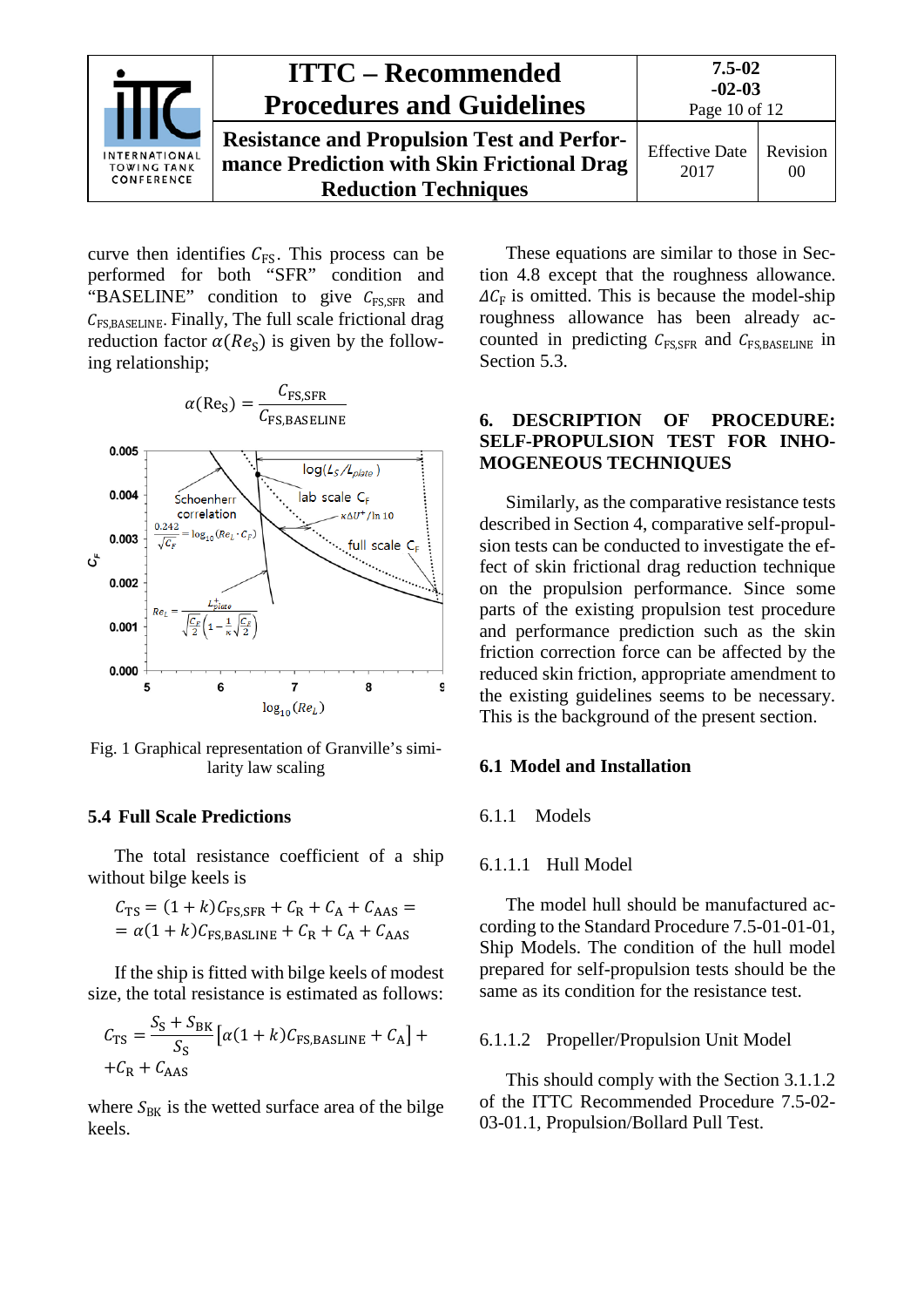

curve then identifies  $C_{FS}$ . This process can be performed for both "SFR" condition and "BASELINE" condition to give  $C_{\text{FS,SFR}}$  and  $C_{\text{FS.BASELINE}}$ . Finally, The full scale frictional drag reduction factor  $\alpha(Re<sub>S</sub>)$  is given by the following relationship;



Fig. 1 Graphical representation of Granville's similarity law scaling

#### <span id="page-9-0"></span>**5.4 Full Scale Predictions**

The total resistance coefficient of a ship without bilge keels is

$$
C_{\text{TS}} = (1 + k)C_{\text{FS,SFR}} + C_{\text{R}} + C_{\text{A}} + C_{\text{AAS}} =
$$

$$
= \alpha (1 + k)C_{\text{FS,BASLINE}} + C_{\text{R}} + C_{\text{A}} + C_{\text{AAS}}
$$

If the ship is fitted with bilge keels of modest size, the total resistance is estimated as follows:

$$
C_{\text{TS}} = \frac{S_{\text{S}} + S_{\text{BK}}}{S_{\text{S}}} \left[ \alpha (1 + k) C_{\text{FS,BASLINE}} + C_{\text{A}} \right] +
$$
  
+  $C_{\text{R}} + C_{\text{AAS}}$ 

where  $S_{BK}$  is the wetted surface area of the bilge keels.

These equations are similar to those in Section 4.8 except that the roughness allowance.  $\Delta C_F$  is omitted. This is because the model-ship roughness allowance has been already accounted in predicting  $C_{\text{FSSFR}}$  and  $C_{\text{FSSBASELINE}}$  in Section 5.3.

### <span id="page-9-1"></span>**6. DESCRIPTION OF PROCEDURE: SELF-PROPULSION TEST FOR INHO-MOGENEOUS TECHNIQUES**

Similarly, as the comparative resistance tests described in Section 4, comparative self-propulsion tests can be conducted to investigate the effect of skin frictional drag reduction technique on the propulsion performance. Since some parts of the existing propulsion test procedure and performance prediction such as the skin friction correction force can be affected by the reduced skin friction, appropriate amendment to the existing guidelines seems to be necessary. This is the background of the present section.

#### <span id="page-9-3"></span><span id="page-9-2"></span>**6.1 Model and Installation**

#### <span id="page-9-4"></span>6.1.1 Models

#### 6.1.1.1 Hull Model

The model hull should be manufactured according to the Standard Procedure 7.5-01-01-01, Ship Models. The condition of the hull model prepared for self-propulsion tests should be the same as its condition for the resistance test.

#### <span id="page-9-5"></span>6.1.1.2 Propeller/Propulsion Unit Model

This should comply with the Section 3.1.1.2 of the ITTC Recommended Procedure 7.5-02- 03-01.1, Propulsion/Bollard Pull Test.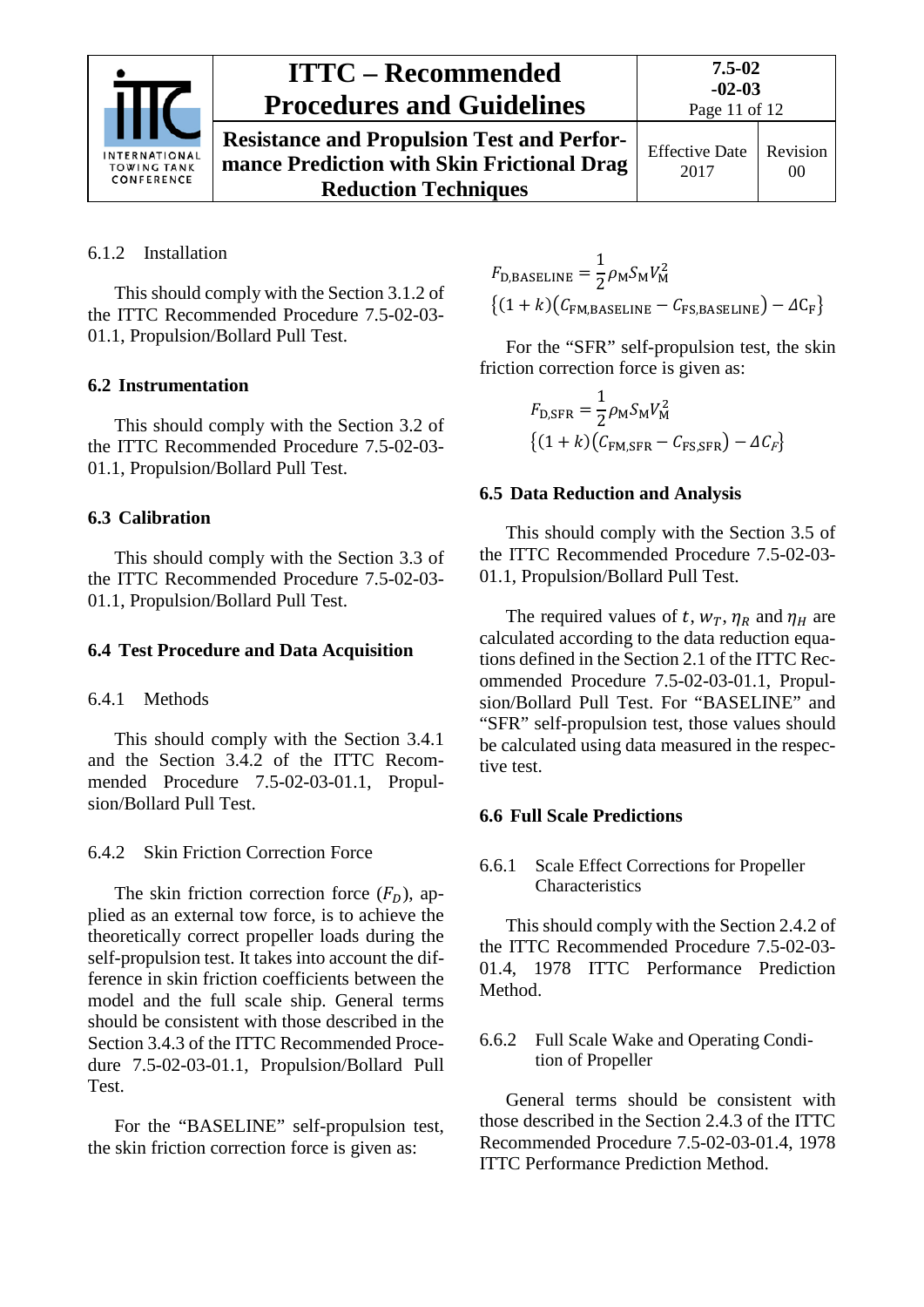

Effective Date 2017 Revision 00

## <span id="page-10-0"></span>6.1.2 Installation

This should comply with the Section 3.1.2 of the ITTC Recommended Procedure 7.5-02-03- 01.1, Propulsion/Bollard Pull Test.

## <span id="page-10-1"></span>**6.2 Instrumentation**

This should comply with the Section 3.2 of the ITTC Recommended Procedure 7.5-02-03- 01.1, Propulsion/Bollard Pull Test.

### <span id="page-10-2"></span>**6.3 Calibration**

This should comply with the Section 3.3 of the ITTC Recommended Procedure 7.5-02-03- 01.1, Propulsion/Bollard Pull Test.

### <span id="page-10-4"></span><span id="page-10-3"></span>**6.4 Test Procedure and Data Acquisition**

### 6.4.1 Methods

This should comply with the Section 3.4.1 and the Section 3.4.2 of the ITTC Recommended Procedure 7.5-02-03-01.1, Propulsion/Bollard Pull Test.

<span id="page-10-5"></span>6.4.2 Skin Friction Correction Force

The skin friction correction force  $(F<sub>D</sub>)$ , applied as an external tow force, is to achieve the theoretically correct propeller loads during the self-propulsion test. It takes into account the difference in skin friction coefficients between the model and the full scale ship. General terms should be consistent with those described in the Section 3.4.3 of the ITTC Recommended Procedure 7.5-02-03-01.1, Propulsion/Bollard Pull Test.

For the "BASELINE" self-propulsion test, the skin friction correction force is given as:

 $F_{\text{D,BASELINE}} = \frac{1}{2} \rho_{\text{M}} S_{\text{M}} V_{\text{M}}^2$  $\{(1 + k)(\mathcal{C}_{\text{FM,BASELINE}} - \mathcal{C}_{\text{FS,BASELINE}}) - \Delta C_{\text{F}}\}$ 

For the "SFR" self-propulsion test, the skin friction correction force is given as:

$$
F_{\text{D,SFR}} = \frac{1}{2} \rho_{\text{M}} S_{\text{M}} V_{\text{M}}^2
$$

$$
\{(1 + k)(C_{\text{FM,SFR}} - C_{\text{FS,SFR}}) - \Delta C_F\}
$$

### <span id="page-10-6"></span>**6.5 Data Reduction and Analysis**

This should comply with the Section 3.5 of the ITTC Recommended Procedure 7.5-02-03- 01.1, Propulsion/Bollard Pull Test.

The required values of t,  $w_T$ ,  $\eta_R$  and  $\eta_H$  are calculated according to the data reduction equations defined in the Section 2.1 of the ITTC Recommended Procedure 7.5-02-03-01.1, Propulsion/Bollard Pull Test. For "BASELINE" and "SFR" self-propulsion test, those values should be calculated using data measured in the respective test.

## <span id="page-10-8"></span><span id="page-10-7"></span>**6.6 Full Scale Predictions**

### 6.6.1 Scale Effect Corrections for Propeller Characteristics

This should comply with the Section 2.4.2 of the ITTC Recommended Procedure 7.5-02-03- 01.4, 1978 ITTC Performance Prediction Method.

<span id="page-10-9"></span>6.6.2 Full Scale Wake and Operating Condition of Propeller

General terms should be consistent with those described in the Section 2.4.3 of the ITTC Recommended Procedure 7.5-02-03-01.4, 1978 ITTC Performance Prediction Method.